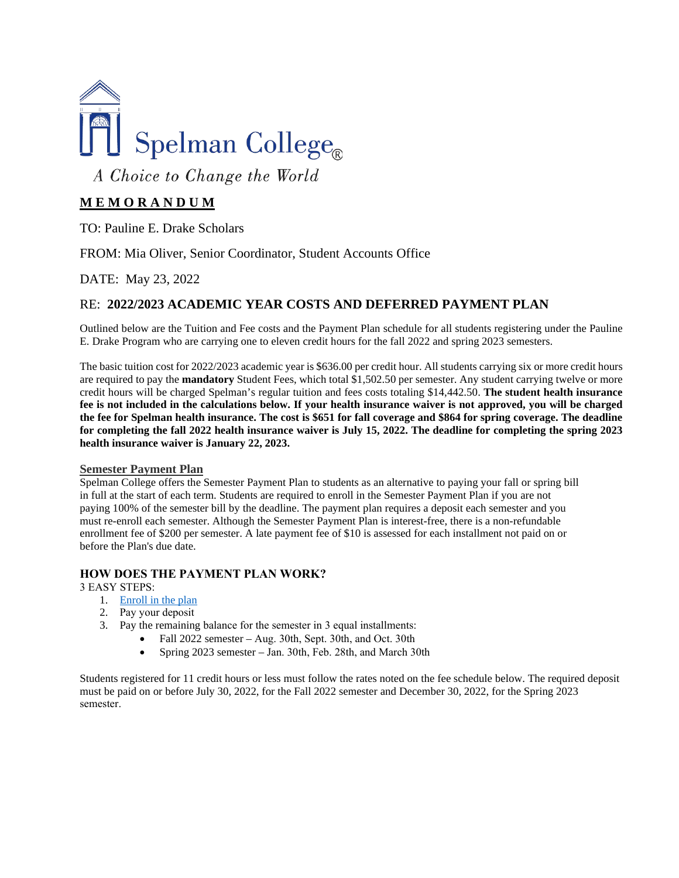

A Choice to Change the World

# **M E M O R A N D U M**

TO: Pauline E. Drake Scholars

FROM: Mia Oliver, Senior Coordinator, Student Accounts Office

DATE: May 23, 2022

# RE: **2022/2023 ACADEMIC YEAR COSTS AND DEFERRED PAYMENT PLAN**

Outlined below are the Tuition and Fee costs and the Payment Plan schedule for all students registering under the Pauline E. Drake Program who are carrying one to eleven credit hours for the fall 2022 and spring 2023 semesters.

The basic tuition cost for 2022/2023 academic year is \$636.00 per credit hour. All students carrying six or more credit hours are required to pay the **mandatory** Student Fees, which total \$1,502.50 per semester. Any student carrying twelve or more credit hours will be charged Spelman's regular tuition and fees costs totaling \$14,442.50. **The student health insurance fee is not included in the calculations below. If your health insurance waiver is not approved, you will be charged the fee for Spelman health insurance. The cost is \$651 for fall coverage and \$864 for spring coverage. The deadline for completing the fall 2022 health insurance waiver is July 15, 2022. The deadline for completing the spring 2023 health insurance waiver is January 22, 2023.** 

### **Semester Payment Plan**

Spelman College offers the Semester Payment Plan to students as an alternative to paying your fall or spring bill in full at the start of each term. Students are required to enroll in the Semester Payment Plan if you are not paying 100% of the semester bill by the deadline. The payment plan requires a deposit each semester and you must re-enroll each semester. Although the Semester Payment Plan is interest-free, there is a non-refundable enrollment fee of \$200 per semester. A late payment fee of \$10 is assessed for each installment not paid on or before the Plan's due date.

### **HOW DOES THE PAYMENT PLAN WORK?**

3 EASY STEPS: 

- 1. [Enroll in the plan](https://secure.touchnet.com/C22097_tsa/web/login.jsp)
- 2. Pay your deposit
- 3. Pay the remaining balance for the semester in 3 equal installments:
	- Fall 2022 semester Aug. 30th, Sept. 30th, and Oct. 30th
	- Spring 2023 semester Jan. 30th, Feb. 28th, and March 30th

Students registered for 11 credit hours or less must follow the rates noted on the fee schedule below. The required deposit must be paid on or before July 30, 2022, for the Fall 2022 semester and December 30, 2022, for the Spring 2023 semester.